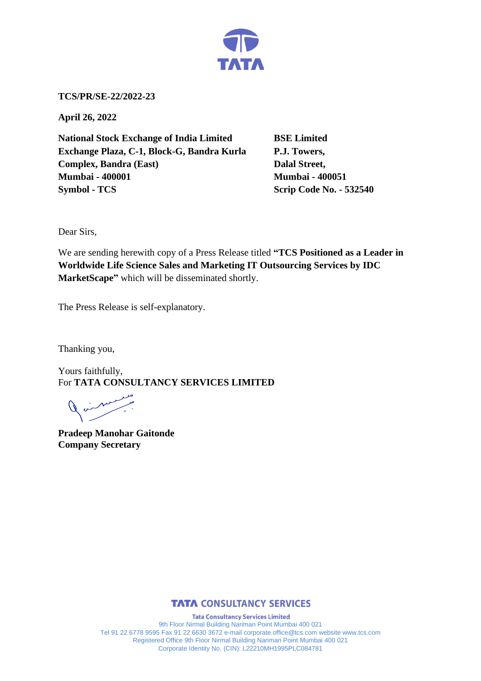

**TCS/PR/SE-22/2022-23**

**April 26, 2022**

**National Stock Exchange of India Limited BSE Limited Exchange Plaza, C-1, Block-G, Bandra Kurla P.J. Towers, Complex, Bandra (East)** Dalal Street, **Mumbai - 400001 Mumbai - 400051 Symbol - TCS Scrip Code No. - 532540** 

Dear Sirs,

We are sending herewith copy of a Press Release titled **"TCS Positioned as a Leader in Worldwide Life Science Sales and Marketing IT Outsourcing Services by IDC MarketScape"** which will be disseminated shortly.

The Press Release is self-explanatory.

Thanking you,

Yours faithfully, For **TATA CONSULTANCY SERVICES LIMITED**

فبمحمله

**Pradeep Manohar Gaitonde Company Secretary**



**Tata Consultancy Services Limited** 9th Floor Nirmal Building Nariman Point Mumbai 400 021 Tel 91 22 6778 9595 Fax 91 22 6630 3672 e-mail corporate.office@tcs.com website www.tcs.com Registered Office 9th Floor Nirmal Building Nariman Point Mumbai 400 021 Corporate Identity No. (CIN): L22210MH1995PLC084781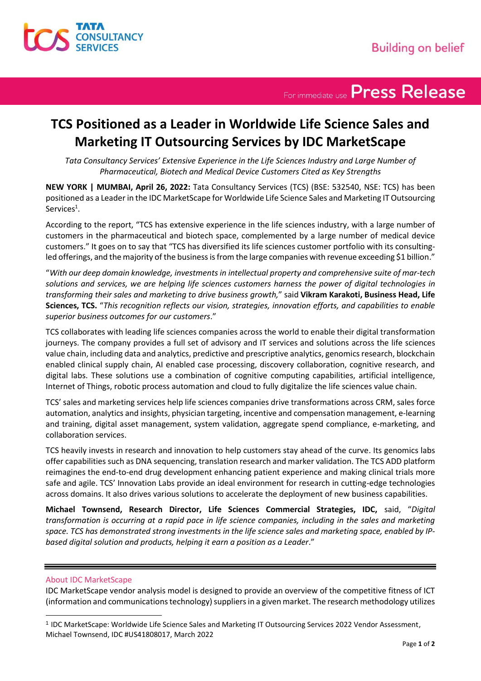

For immediate use Press Release

## **TCS Positioned as a Leader in Worldwide Life Science Sales and Marketing IT Outsourcing Services by IDC MarketScape**

*Tata Consultancy Services' Extensive Experience in the Life Sciences Industry and Large Number of Pharmaceutical, Biotech and Medical Device Customers Cited as Key Strengths*

**NEW YORK | MUMBAI, April 26, 2022:** Tata Consultancy Services (TCS) (BSE: 532540, NSE: TCS) has been positioned as a Leader in the IDC MarketScape for Worldwide Life Science Sales and Marketing IT Outsourcing Services<sup>1</sup>.

According to the report, "TCS has extensive experience in the life sciences industry, with a large number of customers in the pharmaceutical and biotech space, complemented by a large number of medical device customers." It goes on to say that "TCS has diversified its life sciences customer portfolio with its consultingled offerings, and the majority of the business is from the large companies with revenue exceeding \$1 billion."

"*With our deep domain knowledge, investments in intellectual property and comprehensive suite of mar-tech solutions and services, we are helping life sciences customers harness the power of digital technologies in transforming their sales and marketing to drive business growth,*" said **Vikram Karakoti, Business Head, Life Sciences, TCS.** "*This recognition reflects our vision, strategies, innovation efforts, and capabilities to enable superior business outcomes for our customers*."

TCS collaborates with leading life sciences companies across the world to enable their digital transformation journeys. The company provides a full set of advisory and IT services and solutions across the life sciences value chain, including data and analytics, predictive and prescriptive analytics, genomics research, blockchain enabled clinical supply chain, AI enabled case processing, discovery collaboration, cognitive research, and digital labs. These solutions use a combination of cognitive computing capabilities, artificial intelligence, Internet of Things, robotic process automation and cloud to fully digitalize the life sciences value chain.

TCS' sales and marketing services help life sciences companies drive transformations across CRM, sales force automation, analytics and insights, physician targeting, incentive and compensation management, e-learning and training, digital asset management, system validation, aggregate spend compliance, e-marketing, and collaboration services.

TCS heavily invests in research and innovation to help customers stay ahead of the curve. Its genomics labs offer capabilities such as DNA sequencing, translation research and marker validation. The TCS ADD platform reimagines the end-to-end drug development enhancing patient experience and making clinical trials more safe and agile. TCS' Innovation Labs provide an ideal environment for research in cutting-edge technologies across domains. It also drives various solutions to accelerate the deployment of new business capabilities.

**Michael Townsend, Research Director, Life Sciences Commercial Strategies, IDC,** said, "*Digital transformation is occurring at a rapid pace in life science companies, including in the sales and marketing space. TCS has demonstrated strong investments in the life science sales and marketing space, enabled by IPbased digital solution and products, helping it earn a position as a Leader*."

### About IDC MarketScape

IDC MarketScape vendor analysis model is designed to provide an overview of the competitive fitness of ICT (information and communications technology) suppliers in a given market. The research methodology utilizes

<sup>&</sup>lt;sup>1</sup> IDC MarketScape: Worldwide Life Science Sales and Marketing IT Outsourcing Services 2022 Vendor Assessment, Michael Townsend, IDC #US41808017, March 2022